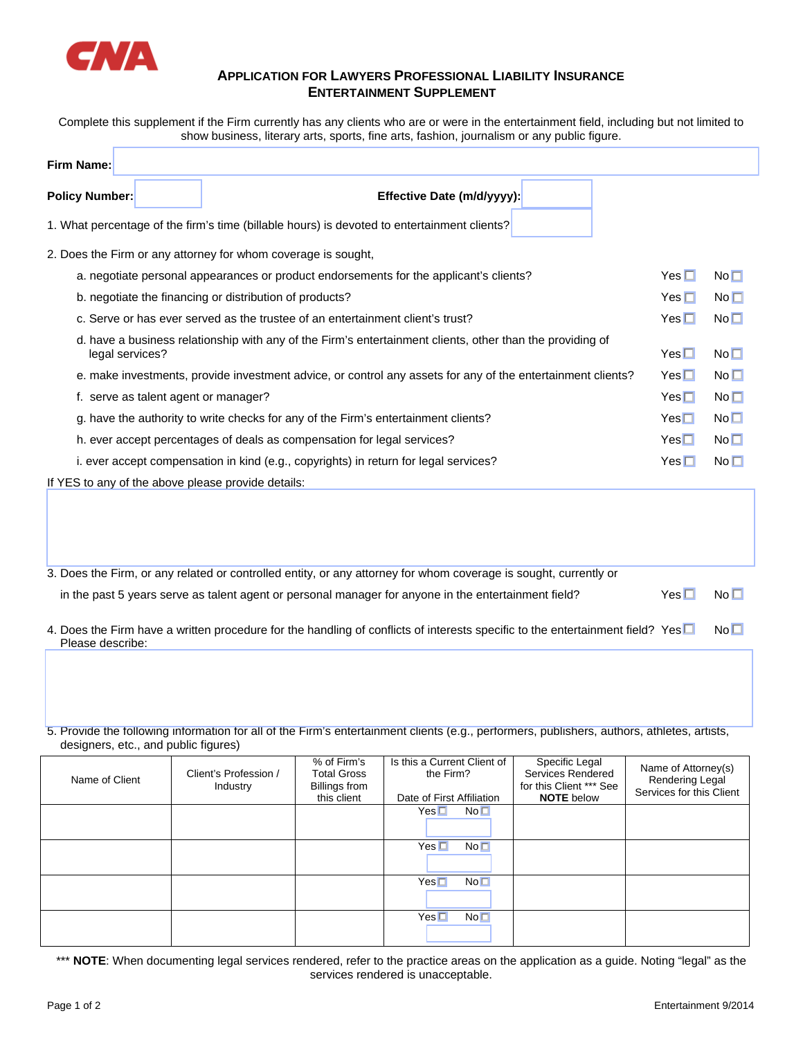

## **APPLICATION FOR LAWYERS PROFESSIONAL LIABILITY INSURANCE ENTERTAINMENT SUPPLEMENT**

Complete this supplement if the Firm currently has any clients who are or were in the entertainment field, including but not limited to show business, literary arts, sports, fine arts, fashion, journalism or any public figure.

| Firm Name:                                                                                                                   |              |                 |
|------------------------------------------------------------------------------------------------------------------------------|--------------|-----------------|
| <b>Policy Number:</b><br>Effective Date (m/d/yyyy):                                                                          |              |                 |
| 1. What percentage of the firm's time (billable hours) is devoted to entertainment clients?                                  |              |                 |
| 2. Does the Firm or any attorney for whom coverage is sought,                                                                |              |                 |
| a. negotiate personal appearances or product endorsements for the applicant's clients?                                       | $Yes \Box$   | No <sub>1</sub> |
| b. negotiate the financing or distribution of products?                                                                      | Yes $\Box$   | No <sub>1</sub> |
| c. Serve or has ever served as the trustee of an entertainment client's trust?                                               | $Yes\square$ | No <sub>1</sub> |
| d. have a business relationship with any of the Firm's entertainment clients, other than the providing of<br>legal services? | $Yes\square$ | No <sub>1</sub> |
| e. make investments, provide investment advice, or control any assets for any of the entertainment clients?                  | $Yes\square$ | No <sub>1</sub> |
| f. serve as talent agent or manager?                                                                                         | $Yes \Box$   | No <sub>1</sub> |
| g. have the authority to write checks for any of the Firm's entertainment clients?                                           | $Yes\square$ | No <sub>1</sub> |
| h. ever accept percentages of deals as compensation for legal services?                                                      | $Yes\square$ | No <sub>1</sub> |
| i. ever accept compensation in kind (e.g., copyrights) in return for legal services?                                         | $Yes \Box$   | No <sub>1</sub> |
| If YES to any of the above please provide details:                                                                           |              |                 |
|                                                                                                                              |              |                 |

- 3. Does the Firm, or any related or controlled entity, or any attorney for whom coverage is sought, currently or in the past 5 years serve as talent agent or personal manager for anyone in the entertainment field? Yes  $\Box$  No  $\Box$
- 4. Does the Firm have a written procedure for the handling of conflicts of interests specific to the entertainment field? Yes  $\square$  No  $\square$ Please describe:

5. Provide the following information for all of the Firm's entertainment clients (e.g., performers, publishers, authors, athletes, artists, designers, etc., and public figures)

| Name of Client | Client's Profession /<br>Industry | % of Firm's<br><b>Total Gross</b><br>Billings from<br>this client | Is this a Current Client of<br>the Firm?<br>Date of First Affiliation | Specific Legal<br>Services Rendered<br>for this Client *** See<br><b>NOTE</b> below | Name of Attorney(s)<br>Rendering Legal<br>Services for this Client |
|----------------|-----------------------------------|-------------------------------------------------------------------|-----------------------------------------------------------------------|-------------------------------------------------------------------------------------|--------------------------------------------------------------------|
|                |                                   |                                                                   | No <sub>1</sub><br>$Yes \Box$                                         |                                                                                     |                                                                    |
|                |                                   |                                                                   | No <sub>1</sub><br>$Yes \Box$                                         |                                                                                     |                                                                    |
|                |                                   |                                                                   | No <sub>1</sub><br>$Yes \Box$                                         |                                                                                     |                                                                    |
|                |                                   |                                                                   | No <sub>1</sub><br>$Yes \Box$                                         |                                                                                     |                                                                    |

\*\*\* **NOTE**: When documenting legal services rendered, refer to the practice areas on the application as a guide. Noting "legal" as the services rendered is unacceptable.